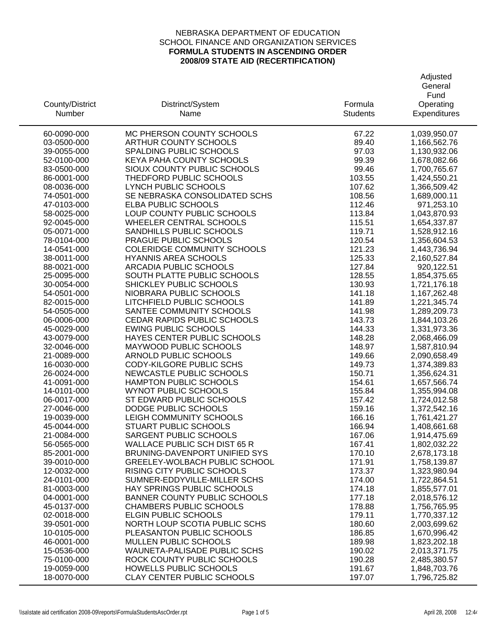| County/District<br>Number  | Distrinct/System<br>Name                                              | Formula<br><b>Students</b> | Adjusted<br>General<br>Fund<br>Operating<br>Expenditures |
|----------------------------|-----------------------------------------------------------------------|----------------------------|----------------------------------------------------------|
| 60-0090-000                | MC PHERSON COUNTY SCHOOLS                                             | 67.22                      | 1,039,950.07                                             |
| 03-0500-000                | <b>ARTHUR COUNTY SCHOOLS</b>                                          | 89.40                      | 1,166,562.76                                             |
| 39-0055-000                | SPALDING PUBLIC SCHOOLS                                               | 97.03                      | 1,130,932.06                                             |
| 52-0100-000                | KEYA PAHA COUNTY SCHOOLS                                              | 99.39                      | 1,678,082.66                                             |
| 83-0500-000                | SIOUX COUNTY PUBLIC SCHOOLS                                           | 99.46                      | 1,700,765.67                                             |
| 86-0001-000                | THEDFORD PUBLIC SCHOOLS                                               | 103.55                     | 1,424,550.21                                             |
| 08-0036-000                | LYNCH PUBLIC SCHOOLS                                                  | 107.62                     | 1,366,509.42                                             |
| 74-0501-000                | SE NEBRASKA CONSOLIDATED SCHS                                         | 108.56                     | 1,689,000.11                                             |
| 47-0103-000                | ELBA PUBLIC SCHOOLS                                                   | 112.46                     | 971,253.10                                               |
| 58-0025-000                | LOUP COUNTY PUBLIC SCHOOLS                                            | 113.84                     | 1,043,870.93                                             |
| 92-0045-000                | <b>WHEELER CENTRAL SCHOOLS</b><br>SANDHILLS PUBLIC SCHOOLS            | 115.51                     | 1,654,337.87                                             |
| 05-0071-000<br>78-0104-000 | PRAGUE PUBLIC SCHOOLS                                                 | 119.71<br>120.54           | 1,528,912.16<br>1,356,604.53                             |
| 14-0541-000                | <b>COLERIDGE COMMUNITY SCHOOLS</b>                                    | 121.23                     | 1,443,736.94                                             |
| 38-0011-000                | <b>HYANNIS AREA SCHOOLS</b>                                           | 125.33                     | 2,160,527.84                                             |
| 88-0021-000                | ARCADIA PUBLIC SCHOOLS                                                | 127.84                     | 920,122.51                                               |
| 25-0095-000                | SOUTH PLATTE PUBLIC SCHOOLS                                           | 128.55                     | 1,854,375.65                                             |
| 30-0054-000                | SHICKLEY PUBLIC SCHOOLS                                               | 130.93                     | 1,721,176.18                                             |
| 54-0501-000                | NIOBRARA PUBLIC SCHOOLS                                               | 141.18                     | 1,167,262.48                                             |
| 82-0015-000                | LITCHFIELD PUBLIC SCHOOLS                                             | 141.89                     | 1,221,345.74                                             |
| 54-0505-000                | SANTEE COMMUNITY SCHOOLS                                              | 141.98                     | 1,289,209.73                                             |
| 06-0006-000                | CEDAR RAPIDS PUBLIC SCHOOLS                                           | 143.73                     | 1,844,103.26                                             |
| 45-0029-000                | <b>EWING PUBLIC SCHOOLS</b>                                           | 144.33                     | 1,331,973.36                                             |
| 43-0079-000                | HAYES CENTER PUBLIC SCHOOLS                                           | 148.28                     | 2,068,466.09                                             |
| 32-0046-000                | MAYWOOD PUBLIC SCHOOLS                                                | 148.97                     | 1,587,810.94                                             |
| 21-0089-000<br>16-0030-000 | ARNOLD PUBLIC SCHOOLS<br>CODY-KILGORE PUBLIC SCHS                     | 149.66<br>149.73           | 2,090,658.49<br>1,374,389.83                             |
| 26-0024-000                | NEWCASTLE PUBLIC SCHOOLS                                              | 150.71                     | 1,356,624.31                                             |
| 41-0091-000                | <b>HAMPTON PUBLIC SCHOOLS</b>                                         | 154.61                     | 1,657,566.74                                             |
| 14-0101-000                | <b>WYNOT PUBLIC SCHOOLS</b>                                           | 155.84                     | 1,355,994.08                                             |
| 06-0017-000                | ST EDWARD PUBLIC SCHOOLS                                              | 157.42                     | 1,724,012.58                                             |
| 27-0046-000                | DODGE PUBLIC SCHOOLS                                                  | 159.16                     | 1,372,542.16                                             |
| 19-0039-000                | LEIGH COMMUNITY SCHOOLS                                               | 166.16                     | 1,761,421.27                                             |
| 45-0044-000                | <b>STUART PUBLIC SCHOOLS</b>                                          | 166.94                     | 1,408,661.68                                             |
| 21-0084-000                | <b>SARGENT PUBLIC SCHOOLS</b>                                         | 167.06                     | 1,914,475.69                                             |
| 56-0565-000                | <b>WALLACE PUBLIC SCH DIST 65 R</b>                                   | 167.41                     | 1,802,032.22                                             |
| 85-2001-000                | BRUNING-DAVENPORT UNIFIED SYS                                         | 170.10                     | 2,678,173.18                                             |
| 39-0010-000                | GREELEY-WOLBACH PUBLIC SCHOOL                                         | 171.91                     | 1,758,139.87                                             |
| 12-0032-000                | RISING CITY PUBLIC SCHOOLS                                            | 173.37                     | 1,323,980.94                                             |
| 24-0101-000                | SUMNER-EDDYVILLE-MILLER SCHS                                          | 174.00                     | 1,722,864.51                                             |
| 81-0003-000                | <b>HAY SPRINGS PUBLIC SCHOOLS</b>                                     | 174.18                     | 1,855,577.01                                             |
| 04-0001-000<br>45-0137-000 | <b>BANNER COUNTY PUBLIC SCHOOLS</b><br><b>CHAMBERS PUBLIC SCHOOLS</b> | 177.18<br>178.88           | 2,018,576.12<br>1,756,765.95                             |
| 02-0018-000                | <b>ELGIN PUBLIC SCHOOLS</b>                                           | 179.11                     | 1,770,337.12                                             |
| 39-0501-000                | NORTH LOUP SCOTIA PUBLIC SCHS                                         | 180.60                     | 2,003,699.62                                             |
| 10-0105-000                | PLEASANTON PUBLIC SCHOOLS                                             | 186.85                     | 1,670,996.42                                             |
| 46-0001-000                | <b>MULLEN PUBLIC SCHOOLS</b>                                          | 189.98                     | 1,823,202.18                                             |
| 15-0536-000                | WAUNETA-PALISADE PUBLIC SCHS                                          | 190.02                     | 2,013,371.75                                             |
| 75-0100-000                | ROCK COUNTY PUBLIC SCHOOLS                                            | 190.28                     | 2,485,380.57                                             |
| 19-0059-000                | HOWELLS PUBLIC SCHOOLS                                                | 191.67                     | 1,848,703.76                                             |
| 18-0070-000                | <b>CLAY CENTER PUBLIC SCHOOLS</b>                                     | 197.07                     | 1,796,725.82                                             |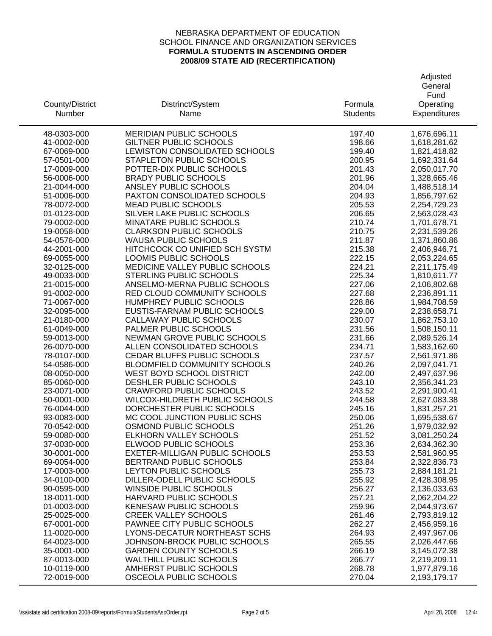| Fund<br>Formula<br>Operating<br>County/District<br>Distrinct/System<br>Number<br>Expenditures<br>Name<br><b>Students</b><br>MERIDIAN PUBLIC SCHOOLS<br>197.40<br>48-0303-000<br>1,676,696.11<br><b>GILTNER PUBLIC SCHOOLS</b><br>198.66<br>1,618,281.62<br>41-0002-000<br>LEWISTON CONSOLIDATED SCHOOLS<br>1,821,418.82<br>67-0069-000<br>199.40<br>STAPLETON PUBLIC SCHOOLS<br>57-0501-000<br>200.95<br>1,692,331.64<br>17-0009-000<br>POTTER-DIX PUBLIC SCHOOLS<br>201.43<br>2,050,017.70<br><b>BRADY PUBLIC SCHOOLS</b><br>201.96<br>56-0006-000<br>1,328,665.46<br>204.04<br>21-0044-000<br>ANSLEY PUBLIC SCHOOLS<br>1,488,518.14<br>PAXTON CONSOLIDATED SCHOOLS<br>1,856,797.62<br>51-0006-000<br>204.93<br><b>MEAD PUBLIC SCHOOLS</b><br>2,254,729.23<br>78-0072-000<br>205.53<br>SILVER LAKE PUBLIC SCHOOLS<br>01-0123-000<br>206.65<br>2,563,028.43<br>79-0002-000<br>MINATARE PUBLIC SCHOOLS<br>210.74<br>1,701,678.71<br><b>CLARKSON PUBLIC SCHOOLS</b><br>19-0058-000<br>210.75<br>2,231,539.26<br><b>WAUSA PUBLIC SCHOOLS</b><br>211.87<br>54-0576-000<br>1,371,860.86<br>HITCHCOCK CO UNIFIED SCH SYSTM<br>215.38<br>44-2001-000<br>2,406,946.71<br>LOOMIS PUBLIC SCHOOLS<br>222.15<br>2,053,224.65<br>69-0055-000<br>MEDICINE VALLEY PUBLIC SCHOOLS<br>224.21<br>2,211,175.49<br>32-0125-000<br>49-0033-000<br>STERLING PUBLIC SCHOOLS<br>225.34<br>1,810,611.77<br>227.06<br>21-0015-000<br>ANSELMO-MERNA PUBLIC SCHOOLS<br>2,106,802.68<br>227.68<br>2,236,891.11<br>91-0002-000<br>RED CLOUD COMMUNITY SCHOOLS<br>71-0067-000<br>HUMPHREY PUBLIC SCHOOLS<br>228.86<br>1,984,708.59<br>EUSTIS-FARNAM PUBLIC SCHOOLS<br>229.00<br>32-0095-000<br>2,238,658.71<br>21-0180-000<br>CALLAWAY PUBLIC SCHOOLS<br>230.07<br>1,862,753.10<br>PALMER PUBLIC SCHOOLS<br>61-0049-000<br>231.56<br>1,508,150.11<br>NEWMAN GROVE PUBLIC SCHOOLS<br>231.66<br>59-0013-000<br>2,089,526.14<br>ALLEN CONSOLIDATED SCHOOLS<br>26-0070-000<br>234.71<br>1,583,162.60<br>CEDAR BLUFFS PUBLIC SCHOOLS<br>237.57<br>78-0107-000<br>2,561,971.86<br>BLOOMFIELD COMMUNITY SCHOOLS<br>2,097,041.71<br>54-0586-000<br>240.26<br>WEST BOYD SCHOOL DISTRICT<br>2,497,637.96<br>08-0050-000<br>242.00<br>DESHLER PUBLIC SCHOOLS<br>243.10<br>85-0060-000<br>2,356,341.23<br><b>CRAWFORD PUBLIC SCHOOLS</b><br>2,291,900.41<br>23-0071-000<br>243.52<br>WILCOX-HILDRETH PUBLIC SCHOOLS<br>244.58<br>50-0001-000<br>2,627,083.38<br>DORCHESTER PUBLIC SCHOOLS<br>76-0044-000<br>245.16<br>1,831,257.21<br>93-0083-000<br>MC COOL JUNCTION PUBLIC SCHS<br>250.06<br>1,695,538.67<br>70-0542-000<br>OSMOND PUBLIC SCHOOLS<br>251.26<br>1,979,032.92<br>59-0080-000<br>ELKHORN VALLEY SCHOOLS<br>251.52<br>3,081,250.24<br>37-0030-000<br>ELWOOD PUBLIC SCHOOLS<br>253.36<br>2,634,362.30<br>30-0001-000<br>EXETER-MILLIGAN PUBLIC SCHOOLS<br>253.53<br>2,581,960.95<br>69-0054-000<br>BERTRAND PUBLIC SCHOOLS<br>253.84<br>2,322,836.73<br>17-0003-000<br>LEYTON PUBLIC SCHOOLS<br>255.73<br>2,884,181.21<br>DILLER-ODELL PUBLIC SCHOOLS<br>34-0100-000<br>255.92<br>2,428,308.95<br>2,136,033.63<br>90-0595-000<br><b>WINSIDE PUBLIC SCHOOLS</b><br>256.27<br>HARVARD PUBLIC SCHOOLS<br>18-0011-000<br>257.21<br>2,062,204.22<br>01-0003-000<br><b>KENESAW PUBLIC SCHOOLS</b><br>259.96<br>2,044,973.67<br>25-0025-000<br><b>CREEK VALLEY SCHOOLS</b><br>261.46<br>2,793,819.12<br>PAWNEE CITY PUBLIC SCHOOLS<br>262.27<br>2,456,959.16<br>67-0001-000<br>11-0020-000<br>LYONS-DECATUR NORTHEAST SCHS<br>264.93<br>2,497,967.06<br>JOHNSON-BROCK PUBLIC SCHOOLS<br>64-0023-000<br>265.55<br>2,026,447.66<br>35-0001-000<br><b>GARDEN COUNTY SCHOOLS</b><br>266.19<br>3,145,072.38<br>87-0013-000<br><b>WALTHILL PUBLIC SCHOOLS</b><br>266.77<br>2,219,209.11<br>10-0119-000<br>AMHERST PUBLIC SCHOOLS<br>268.78<br>1,977,879.16 |             |                        |        | Adjusted<br>General |
|-----------------------------------------------------------------------------------------------------------------------------------------------------------------------------------------------------------------------------------------------------------------------------------------------------------------------------------------------------------------------------------------------------------------------------------------------------------------------------------------------------------------------------------------------------------------------------------------------------------------------------------------------------------------------------------------------------------------------------------------------------------------------------------------------------------------------------------------------------------------------------------------------------------------------------------------------------------------------------------------------------------------------------------------------------------------------------------------------------------------------------------------------------------------------------------------------------------------------------------------------------------------------------------------------------------------------------------------------------------------------------------------------------------------------------------------------------------------------------------------------------------------------------------------------------------------------------------------------------------------------------------------------------------------------------------------------------------------------------------------------------------------------------------------------------------------------------------------------------------------------------------------------------------------------------------------------------------------------------------------------------------------------------------------------------------------------------------------------------------------------------------------------------------------------------------------------------------------------------------------------------------------------------------------------------------------------------------------------------------------------------------------------------------------------------------------------------------------------------------------------------------------------------------------------------------------------------------------------------------------------------------------------------------------------------------------------------------------------------------------------------------------------------------------------------------------------------------------------------------------------------------------------------------------------------------------------------------------------------------------------------------------------------------------------------------------------------------------------------------------------------------------------------------------------------------------------------------------------------------------------------------------------------------------------------------------------------------------------------------------------------------------------------------------------------------------------------------------------------------------------------------------------------------------------------------------------------------------------------------------------------------------------------------------------------------------------------------------------------------------------------------------------------------------------------------------|-------------|------------------------|--------|---------------------|
|                                                                                                                                                                                                                                                                                                                                                                                                                                                                                                                                                                                                                                                                                                                                                                                                                                                                                                                                                                                                                                                                                                                                                                                                                                                                                                                                                                                                                                                                                                                                                                                                                                                                                                                                                                                                                                                                                                                                                                                                                                                                                                                                                                                                                                                                                                                                                                                                                                                                                                                                                                                                                                                                                                                                                                                                                                                                                                                                                                                                                                                                                                                                                                                                                                                                                                                                                                                                                                                                                                                                                                                                                                                                                                                                                                                                                 |             |                        |        |                     |
|                                                                                                                                                                                                                                                                                                                                                                                                                                                                                                                                                                                                                                                                                                                                                                                                                                                                                                                                                                                                                                                                                                                                                                                                                                                                                                                                                                                                                                                                                                                                                                                                                                                                                                                                                                                                                                                                                                                                                                                                                                                                                                                                                                                                                                                                                                                                                                                                                                                                                                                                                                                                                                                                                                                                                                                                                                                                                                                                                                                                                                                                                                                                                                                                                                                                                                                                                                                                                                                                                                                                                                                                                                                                                                                                                                                                                 |             |                        |        |                     |
|                                                                                                                                                                                                                                                                                                                                                                                                                                                                                                                                                                                                                                                                                                                                                                                                                                                                                                                                                                                                                                                                                                                                                                                                                                                                                                                                                                                                                                                                                                                                                                                                                                                                                                                                                                                                                                                                                                                                                                                                                                                                                                                                                                                                                                                                                                                                                                                                                                                                                                                                                                                                                                                                                                                                                                                                                                                                                                                                                                                                                                                                                                                                                                                                                                                                                                                                                                                                                                                                                                                                                                                                                                                                                                                                                                                                                 |             |                        |        |                     |
|                                                                                                                                                                                                                                                                                                                                                                                                                                                                                                                                                                                                                                                                                                                                                                                                                                                                                                                                                                                                                                                                                                                                                                                                                                                                                                                                                                                                                                                                                                                                                                                                                                                                                                                                                                                                                                                                                                                                                                                                                                                                                                                                                                                                                                                                                                                                                                                                                                                                                                                                                                                                                                                                                                                                                                                                                                                                                                                                                                                                                                                                                                                                                                                                                                                                                                                                                                                                                                                                                                                                                                                                                                                                                                                                                                                                                 |             |                        |        |                     |
|                                                                                                                                                                                                                                                                                                                                                                                                                                                                                                                                                                                                                                                                                                                                                                                                                                                                                                                                                                                                                                                                                                                                                                                                                                                                                                                                                                                                                                                                                                                                                                                                                                                                                                                                                                                                                                                                                                                                                                                                                                                                                                                                                                                                                                                                                                                                                                                                                                                                                                                                                                                                                                                                                                                                                                                                                                                                                                                                                                                                                                                                                                                                                                                                                                                                                                                                                                                                                                                                                                                                                                                                                                                                                                                                                                                                                 |             |                        |        |                     |
|                                                                                                                                                                                                                                                                                                                                                                                                                                                                                                                                                                                                                                                                                                                                                                                                                                                                                                                                                                                                                                                                                                                                                                                                                                                                                                                                                                                                                                                                                                                                                                                                                                                                                                                                                                                                                                                                                                                                                                                                                                                                                                                                                                                                                                                                                                                                                                                                                                                                                                                                                                                                                                                                                                                                                                                                                                                                                                                                                                                                                                                                                                                                                                                                                                                                                                                                                                                                                                                                                                                                                                                                                                                                                                                                                                                                                 |             |                        |        |                     |
|                                                                                                                                                                                                                                                                                                                                                                                                                                                                                                                                                                                                                                                                                                                                                                                                                                                                                                                                                                                                                                                                                                                                                                                                                                                                                                                                                                                                                                                                                                                                                                                                                                                                                                                                                                                                                                                                                                                                                                                                                                                                                                                                                                                                                                                                                                                                                                                                                                                                                                                                                                                                                                                                                                                                                                                                                                                                                                                                                                                                                                                                                                                                                                                                                                                                                                                                                                                                                                                                                                                                                                                                                                                                                                                                                                                                                 |             |                        |        |                     |
|                                                                                                                                                                                                                                                                                                                                                                                                                                                                                                                                                                                                                                                                                                                                                                                                                                                                                                                                                                                                                                                                                                                                                                                                                                                                                                                                                                                                                                                                                                                                                                                                                                                                                                                                                                                                                                                                                                                                                                                                                                                                                                                                                                                                                                                                                                                                                                                                                                                                                                                                                                                                                                                                                                                                                                                                                                                                                                                                                                                                                                                                                                                                                                                                                                                                                                                                                                                                                                                                                                                                                                                                                                                                                                                                                                                                                 |             |                        |        |                     |
|                                                                                                                                                                                                                                                                                                                                                                                                                                                                                                                                                                                                                                                                                                                                                                                                                                                                                                                                                                                                                                                                                                                                                                                                                                                                                                                                                                                                                                                                                                                                                                                                                                                                                                                                                                                                                                                                                                                                                                                                                                                                                                                                                                                                                                                                                                                                                                                                                                                                                                                                                                                                                                                                                                                                                                                                                                                                                                                                                                                                                                                                                                                                                                                                                                                                                                                                                                                                                                                                                                                                                                                                                                                                                                                                                                                                                 |             |                        |        |                     |
|                                                                                                                                                                                                                                                                                                                                                                                                                                                                                                                                                                                                                                                                                                                                                                                                                                                                                                                                                                                                                                                                                                                                                                                                                                                                                                                                                                                                                                                                                                                                                                                                                                                                                                                                                                                                                                                                                                                                                                                                                                                                                                                                                                                                                                                                                                                                                                                                                                                                                                                                                                                                                                                                                                                                                                                                                                                                                                                                                                                                                                                                                                                                                                                                                                                                                                                                                                                                                                                                                                                                                                                                                                                                                                                                                                                                                 |             |                        |        |                     |
|                                                                                                                                                                                                                                                                                                                                                                                                                                                                                                                                                                                                                                                                                                                                                                                                                                                                                                                                                                                                                                                                                                                                                                                                                                                                                                                                                                                                                                                                                                                                                                                                                                                                                                                                                                                                                                                                                                                                                                                                                                                                                                                                                                                                                                                                                                                                                                                                                                                                                                                                                                                                                                                                                                                                                                                                                                                                                                                                                                                                                                                                                                                                                                                                                                                                                                                                                                                                                                                                                                                                                                                                                                                                                                                                                                                                                 |             |                        |        |                     |
|                                                                                                                                                                                                                                                                                                                                                                                                                                                                                                                                                                                                                                                                                                                                                                                                                                                                                                                                                                                                                                                                                                                                                                                                                                                                                                                                                                                                                                                                                                                                                                                                                                                                                                                                                                                                                                                                                                                                                                                                                                                                                                                                                                                                                                                                                                                                                                                                                                                                                                                                                                                                                                                                                                                                                                                                                                                                                                                                                                                                                                                                                                                                                                                                                                                                                                                                                                                                                                                                                                                                                                                                                                                                                                                                                                                                                 |             |                        |        |                     |
|                                                                                                                                                                                                                                                                                                                                                                                                                                                                                                                                                                                                                                                                                                                                                                                                                                                                                                                                                                                                                                                                                                                                                                                                                                                                                                                                                                                                                                                                                                                                                                                                                                                                                                                                                                                                                                                                                                                                                                                                                                                                                                                                                                                                                                                                                                                                                                                                                                                                                                                                                                                                                                                                                                                                                                                                                                                                                                                                                                                                                                                                                                                                                                                                                                                                                                                                                                                                                                                                                                                                                                                                                                                                                                                                                                                                                 |             |                        |        |                     |
|                                                                                                                                                                                                                                                                                                                                                                                                                                                                                                                                                                                                                                                                                                                                                                                                                                                                                                                                                                                                                                                                                                                                                                                                                                                                                                                                                                                                                                                                                                                                                                                                                                                                                                                                                                                                                                                                                                                                                                                                                                                                                                                                                                                                                                                                                                                                                                                                                                                                                                                                                                                                                                                                                                                                                                                                                                                                                                                                                                                                                                                                                                                                                                                                                                                                                                                                                                                                                                                                                                                                                                                                                                                                                                                                                                                                                 |             |                        |        |                     |
|                                                                                                                                                                                                                                                                                                                                                                                                                                                                                                                                                                                                                                                                                                                                                                                                                                                                                                                                                                                                                                                                                                                                                                                                                                                                                                                                                                                                                                                                                                                                                                                                                                                                                                                                                                                                                                                                                                                                                                                                                                                                                                                                                                                                                                                                                                                                                                                                                                                                                                                                                                                                                                                                                                                                                                                                                                                                                                                                                                                                                                                                                                                                                                                                                                                                                                                                                                                                                                                                                                                                                                                                                                                                                                                                                                                                                 |             |                        |        |                     |
|                                                                                                                                                                                                                                                                                                                                                                                                                                                                                                                                                                                                                                                                                                                                                                                                                                                                                                                                                                                                                                                                                                                                                                                                                                                                                                                                                                                                                                                                                                                                                                                                                                                                                                                                                                                                                                                                                                                                                                                                                                                                                                                                                                                                                                                                                                                                                                                                                                                                                                                                                                                                                                                                                                                                                                                                                                                                                                                                                                                                                                                                                                                                                                                                                                                                                                                                                                                                                                                                                                                                                                                                                                                                                                                                                                                                                 |             |                        |        |                     |
|                                                                                                                                                                                                                                                                                                                                                                                                                                                                                                                                                                                                                                                                                                                                                                                                                                                                                                                                                                                                                                                                                                                                                                                                                                                                                                                                                                                                                                                                                                                                                                                                                                                                                                                                                                                                                                                                                                                                                                                                                                                                                                                                                                                                                                                                                                                                                                                                                                                                                                                                                                                                                                                                                                                                                                                                                                                                                                                                                                                                                                                                                                                                                                                                                                                                                                                                                                                                                                                                                                                                                                                                                                                                                                                                                                                                                 |             |                        |        |                     |
|                                                                                                                                                                                                                                                                                                                                                                                                                                                                                                                                                                                                                                                                                                                                                                                                                                                                                                                                                                                                                                                                                                                                                                                                                                                                                                                                                                                                                                                                                                                                                                                                                                                                                                                                                                                                                                                                                                                                                                                                                                                                                                                                                                                                                                                                                                                                                                                                                                                                                                                                                                                                                                                                                                                                                                                                                                                                                                                                                                                                                                                                                                                                                                                                                                                                                                                                                                                                                                                                                                                                                                                                                                                                                                                                                                                                                 |             |                        |        |                     |
|                                                                                                                                                                                                                                                                                                                                                                                                                                                                                                                                                                                                                                                                                                                                                                                                                                                                                                                                                                                                                                                                                                                                                                                                                                                                                                                                                                                                                                                                                                                                                                                                                                                                                                                                                                                                                                                                                                                                                                                                                                                                                                                                                                                                                                                                                                                                                                                                                                                                                                                                                                                                                                                                                                                                                                                                                                                                                                                                                                                                                                                                                                                                                                                                                                                                                                                                                                                                                                                                                                                                                                                                                                                                                                                                                                                                                 |             |                        |        |                     |
|                                                                                                                                                                                                                                                                                                                                                                                                                                                                                                                                                                                                                                                                                                                                                                                                                                                                                                                                                                                                                                                                                                                                                                                                                                                                                                                                                                                                                                                                                                                                                                                                                                                                                                                                                                                                                                                                                                                                                                                                                                                                                                                                                                                                                                                                                                                                                                                                                                                                                                                                                                                                                                                                                                                                                                                                                                                                                                                                                                                                                                                                                                                                                                                                                                                                                                                                                                                                                                                                                                                                                                                                                                                                                                                                                                                                                 |             |                        |        |                     |
|                                                                                                                                                                                                                                                                                                                                                                                                                                                                                                                                                                                                                                                                                                                                                                                                                                                                                                                                                                                                                                                                                                                                                                                                                                                                                                                                                                                                                                                                                                                                                                                                                                                                                                                                                                                                                                                                                                                                                                                                                                                                                                                                                                                                                                                                                                                                                                                                                                                                                                                                                                                                                                                                                                                                                                                                                                                                                                                                                                                                                                                                                                                                                                                                                                                                                                                                                                                                                                                                                                                                                                                                                                                                                                                                                                                                                 |             |                        |        |                     |
|                                                                                                                                                                                                                                                                                                                                                                                                                                                                                                                                                                                                                                                                                                                                                                                                                                                                                                                                                                                                                                                                                                                                                                                                                                                                                                                                                                                                                                                                                                                                                                                                                                                                                                                                                                                                                                                                                                                                                                                                                                                                                                                                                                                                                                                                                                                                                                                                                                                                                                                                                                                                                                                                                                                                                                                                                                                                                                                                                                                                                                                                                                                                                                                                                                                                                                                                                                                                                                                                                                                                                                                                                                                                                                                                                                                                                 |             |                        |        |                     |
|                                                                                                                                                                                                                                                                                                                                                                                                                                                                                                                                                                                                                                                                                                                                                                                                                                                                                                                                                                                                                                                                                                                                                                                                                                                                                                                                                                                                                                                                                                                                                                                                                                                                                                                                                                                                                                                                                                                                                                                                                                                                                                                                                                                                                                                                                                                                                                                                                                                                                                                                                                                                                                                                                                                                                                                                                                                                                                                                                                                                                                                                                                                                                                                                                                                                                                                                                                                                                                                                                                                                                                                                                                                                                                                                                                                                                 |             |                        |        |                     |
|                                                                                                                                                                                                                                                                                                                                                                                                                                                                                                                                                                                                                                                                                                                                                                                                                                                                                                                                                                                                                                                                                                                                                                                                                                                                                                                                                                                                                                                                                                                                                                                                                                                                                                                                                                                                                                                                                                                                                                                                                                                                                                                                                                                                                                                                                                                                                                                                                                                                                                                                                                                                                                                                                                                                                                                                                                                                                                                                                                                                                                                                                                                                                                                                                                                                                                                                                                                                                                                                                                                                                                                                                                                                                                                                                                                                                 |             |                        |        |                     |
|                                                                                                                                                                                                                                                                                                                                                                                                                                                                                                                                                                                                                                                                                                                                                                                                                                                                                                                                                                                                                                                                                                                                                                                                                                                                                                                                                                                                                                                                                                                                                                                                                                                                                                                                                                                                                                                                                                                                                                                                                                                                                                                                                                                                                                                                                                                                                                                                                                                                                                                                                                                                                                                                                                                                                                                                                                                                                                                                                                                                                                                                                                                                                                                                                                                                                                                                                                                                                                                                                                                                                                                                                                                                                                                                                                                                                 |             |                        |        |                     |
|                                                                                                                                                                                                                                                                                                                                                                                                                                                                                                                                                                                                                                                                                                                                                                                                                                                                                                                                                                                                                                                                                                                                                                                                                                                                                                                                                                                                                                                                                                                                                                                                                                                                                                                                                                                                                                                                                                                                                                                                                                                                                                                                                                                                                                                                                                                                                                                                                                                                                                                                                                                                                                                                                                                                                                                                                                                                                                                                                                                                                                                                                                                                                                                                                                                                                                                                                                                                                                                                                                                                                                                                                                                                                                                                                                                                                 |             |                        |        |                     |
|                                                                                                                                                                                                                                                                                                                                                                                                                                                                                                                                                                                                                                                                                                                                                                                                                                                                                                                                                                                                                                                                                                                                                                                                                                                                                                                                                                                                                                                                                                                                                                                                                                                                                                                                                                                                                                                                                                                                                                                                                                                                                                                                                                                                                                                                                                                                                                                                                                                                                                                                                                                                                                                                                                                                                                                                                                                                                                                                                                                                                                                                                                                                                                                                                                                                                                                                                                                                                                                                                                                                                                                                                                                                                                                                                                                                                 |             |                        |        |                     |
|                                                                                                                                                                                                                                                                                                                                                                                                                                                                                                                                                                                                                                                                                                                                                                                                                                                                                                                                                                                                                                                                                                                                                                                                                                                                                                                                                                                                                                                                                                                                                                                                                                                                                                                                                                                                                                                                                                                                                                                                                                                                                                                                                                                                                                                                                                                                                                                                                                                                                                                                                                                                                                                                                                                                                                                                                                                                                                                                                                                                                                                                                                                                                                                                                                                                                                                                                                                                                                                                                                                                                                                                                                                                                                                                                                                                                 |             |                        |        |                     |
|                                                                                                                                                                                                                                                                                                                                                                                                                                                                                                                                                                                                                                                                                                                                                                                                                                                                                                                                                                                                                                                                                                                                                                                                                                                                                                                                                                                                                                                                                                                                                                                                                                                                                                                                                                                                                                                                                                                                                                                                                                                                                                                                                                                                                                                                                                                                                                                                                                                                                                                                                                                                                                                                                                                                                                                                                                                                                                                                                                                                                                                                                                                                                                                                                                                                                                                                                                                                                                                                                                                                                                                                                                                                                                                                                                                                                 |             |                        |        |                     |
|                                                                                                                                                                                                                                                                                                                                                                                                                                                                                                                                                                                                                                                                                                                                                                                                                                                                                                                                                                                                                                                                                                                                                                                                                                                                                                                                                                                                                                                                                                                                                                                                                                                                                                                                                                                                                                                                                                                                                                                                                                                                                                                                                                                                                                                                                                                                                                                                                                                                                                                                                                                                                                                                                                                                                                                                                                                                                                                                                                                                                                                                                                                                                                                                                                                                                                                                                                                                                                                                                                                                                                                                                                                                                                                                                                                                                 |             |                        |        |                     |
|                                                                                                                                                                                                                                                                                                                                                                                                                                                                                                                                                                                                                                                                                                                                                                                                                                                                                                                                                                                                                                                                                                                                                                                                                                                                                                                                                                                                                                                                                                                                                                                                                                                                                                                                                                                                                                                                                                                                                                                                                                                                                                                                                                                                                                                                                                                                                                                                                                                                                                                                                                                                                                                                                                                                                                                                                                                                                                                                                                                                                                                                                                                                                                                                                                                                                                                                                                                                                                                                                                                                                                                                                                                                                                                                                                                                                 |             |                        |        |                     |
|                                                                                                                                                                                                                                                                                                                                                                                                                                                                                                                                                                                                                                                                                                                                                                                                                                                                                                                                                                                                                                                                                                                                                                                                                                                                                                                                                                                                                                                                                                                                                                                                                                                                                                                                                                                                                                                                                                                                                                                                                                                                                                                                                                                                                                                                                                                                                                                                                                                                                                                                                                                                                                                                                                                                                                                                                                                                                                                                                                                                                                                                                                                                                                                                                                                                                                                                                                                                                                                                                                                                                                                                                                                                                                                                                                                                                 |             |                        |        |                     |
|                                                                                                                                                                                                                                                                                                                                                                                                                                                                                                                                                                                                                                                                                                                                                                                                                                                                                                                                                                                                                                                                                                                                                                                                                                                                                                                                                                                                                                                                                                                                                                                                                                                                                                                                                                                                                                                                                                                                                                                                                                                                                                                                                                                                                                                                                                                                                                                                                                                                                                                                                                                                                                                                                                                                                                                                                                                                                                                                                                                                                                                                                                                                                                                                                                                                                                                                                                                                                                                                                                                                                                                                                                                                                                                                                                                                                 |             |                        |        |                     |
|                                                                                                                                                                                                                                                                                                                                                                                                                                                                                                                                                                                                                                                                                                                                                                                                                                                                                                                                                                                                                                                                                                                                                                                                                                                                                                                                                                                                                                                                                                                                                                                                                                                                                                                                                                                                                                                                                                                                                                                                                                                                                                                                                                                                                                                                                                                                                                                                                                                                                                                                                                                                                                                                                                                                                                                                                                                                                                                                                                                                                                                                                                                                                                                                                                                                                                                                                                                                                                                                                                                                                                                                                                                                                                                                                                                                                 |             |                        |        |                     |
|                                                                                                                                                                                                                                                                                                                                                                                                                                                                                                                                                                                                                                                                                                                                                                                                                                                                                                                                                                                                                                                                                                                                                                                                                                                                                                                                                                                                                                                                                                                                                                                                                                                                                                                                                                                                                                                                                                                                                                                                                                                                                                                                                                                                                                                                                                                                                                                                                                                                                                                                                                                                                                                                                                                                                                                                                                                                                                                                                                                                                                                                                                                                                                                                                                                                                                                                                                                                                                                                                                                                                                                                                                                                                                                                                                                                                 |             |                        |        |                     |
|                                                                                                                                                                                                                                                                                                                                                                                                                                                                                                                                                                                                                                                                                                                                                                                                                                                                                                                                                                                                                                                                                                                                                                                                                                                                                                                                                                                                                                                                                                                                                                                                                                                                                                                                                                                                                                                                                                                                                                                                                                                                                                                                                                                                                                                                                                                                                                                                                                                                                                                                                                                                                                                                                                                                                                                                                                                                                                                                                                                                                                                                                                                                                                                                                                                                                                                                                                                                                                                                                                                                                                                                                                                                                                                                                                                                                 |             |                        |        |                     |
|                                                                                                                                                                                                                                                                                                                                                                                                                                                                                                                                                                                                                                                                                                                                                                                                                                                                                                                                                                                                                                                                                                                                                                                                                                                                                                                                                                                                                                                                                                                                                                                                                                                                                                                                                                                                                                                                                                                                                                                                                                                                                                                                                                                                                                                                                                                                                                                                                                                                                                                                                                                                                                                                                                                                                                                                                                                                                                                                                                                                                                                                                                                                                                                                                                                                                                                                                                                                                                                                                                                                                                                                                                                                                                                                                                                                                 |             |                        |        |                     |
|                                                                                                                                                                                                                                                                                                                                                                                                                                                                                                                                                                                                                                                                                                                                                                                                                                                                                                                                                                                                                                                                                                                                                                                                                                                                                                                                                                                                                                                                                                                                                                                                                                                                                                                                                                                                                                                                                                                                                                                                                                                                                                                                                                                                                                                                                                                                                                                                                                                                                                                                                                                                                                                                                                                                                                                                                                                                                                                                                                                                                                                                                                                                                                                                                                                                                                                                                                                                                                                                                                                                                                                                                                                                                                                                                                                                                 |             |                        |        |                     |
|                                                                                                                                                                                                                                                                                                                                                                                                                                                                                                                                                                                                                                                                                                                                                                                                                                                                                                                                                                                                                                                                                                                                                                                                                                                                                                                                                                                                                                                                                                                                                                                                                                                                                                                                                                                                                                                                                                                                                                                                                                                                                                                                                                                                                                                                                                                                                                                                                                                                                                                                                                                                                                                                                                                                                                                                                                                                                                                                                                                                                                                                                                                                                                                                                                                                                                                                                                                                                                                                                                                                                                                                                                                                                                                                                                                                                 |             |                        |        |                     |
|                                                                                                                                                                                                                                                                                                                                                                                                                                                                                                                                                                                                                                                                                                                                                                                                                                                                                                                                                                                                                                                                                                                                                                                                                                                                                                                                                                                                                                                                                                                                                                                                                                                                                                                                                                                                                                                                                                                                                                                                                                                                                                                                                                                                                                                                                                                                                                                                                                                                                                                                                                                                                                                                                                                                                                                                                                                                                                                                                                                                                                                                                                                                                                                                                                                                                                                                                                                                                                                                                                                                                                                                                                                                                                                                                                                                                 |             |                        |        |                     |
|                                                                                                                                                                                                                                                                                                                                                                                                                                                                                                                                                                                                                                                                                                                                                                                                                                                                                                                                                                                                                                                                                                                                                                                                                                                                                                                                                                                                                                                                                                                                                                                                                                                                                                                                                                                                                                                                                                                                                                                                                                                                                                                                                                                                                                                                                                                                                                                                                                                                                                                                                                                                                                                                                                                                                                                                                                                                                                                                                                                                                                                                                                                                                                                                                                                                                                                                                                                                                                                                                                                                                                                                                                                                                                                                                                                                                 |             |                        |        |                     |
|                                                                                                                                                                                                                                                                                                                                                                                                                                                                                                                                                                                                                                                                                                                                                                                                                                                                                                                                                                                                                                                                                                                                                                                                                                                                                                                                                                                                                                                                                                                                                                                                                                                                                                                                                                                                                                                                                                                                                                                                                                                                                                                                                                                                                                                                                                                                                                                                                                                                                                                                                                                                                                                                                                                                                                                                                                                                                                                                                                                                                                                                                                                                                                                                                                                                                                                                                                                                                                                                                                                                                                                                                                                                                                                                                                                                                 |             |                        |        |                     |
|                                                                                                                                                                                                                                                                                                                                                                                                                                                                                                                                                                                                                                                                                                                                                                                                                                                                                                                                                                                                                                                                                                                                                                                                                                                                                                                                                                                                                                                                                                                                                                                                                                                                                                                                                                                                                                                                                                                                                                                                                                                                                                                                                                                                                                                                                                                                                                                                                                                                                                                                                                                                                                                                                                                                                                                                                                                                                                                                                                                                                                                                                                                                                                                                                                                                                                                                                                                                                                                                                                                                                                                                                                                                                                                                                                                                                 |             |                        |        |                     |
|                                                                                                                                                                                                                                                                                                                                                                                                                                                                                                                                                                                                                                                                                                                                                                                                                                                                                                                                                                                                                                                                                                                                                                                                                                                                                                                                                                                                                                                                                                                                                                                                                                                                                                                                                                                                                                                                                                                                                                                                                                                                                                                                                                                                                                                                                                                                                                                                                                                                                                                                                                                                                                                                                                                                                                                                                                                                                                                                                                                                                                                                                                                                                                                                                                                                                                                                                                                                                                                                                                                                                                                                                                                                                                                                                                                                                 |             |                        |        |                     |
|                                                                                                                                                                                                                                                                                                                                                                                                                                                                                                                                                                                                                                                                                                                                                                                                                                                                                                                                                                                                                                                                                                                                                                                                                                                                                                                                                                                                                                                                                                                                                                                                                                                                                                                                                                                                                                                                                                                                                                                                                                                                                                                                                                                                                                                                                                                                                                                                                                                                                                                                                                                                                                                                                                                                                                                                                                                                                                                                                                                                                                                                                                                                                                                                                                                                                                                                                                                                                                                                                                                                                                                                                                                                                                                                                                                                                 |             |                        |        |                     |
|                                                                                                                                                                                                                                                                                                                                                                                                                                                                                                                                                                                                                                                                                                                                                                                                                                                                                                                                                                                                                                                                                                                                                                                                                                                                                                                                                                                                                                                                                                                                                                                                                                                                                                                                                                                                                                                                                                                                                                                                                                                                                                                                                                                                                                                                                                                                                                                                                                                                                                                                                                                                                                                                                                                                                                                                                                                                                                                                                                                                                                                                                                                                                                                                                                                                                                                                                                                                                                                                                                                                                                                                                                                                                                                                                                                                                 |             |                        |        |                     |
|                                                                                                                                                                                                                                                                                                                                                                                                                                                                                                                                                                                                                                                                                                                                                                                                                                                                                                                                                                                                                                                                                                                                                                                                                                                                                                                                                                                                                                                                                                                                                                                                                                                                                                                                                                                                                                                                                                                                                                                                                                                                                                                                                                                                                                                                                                                                                                                                                                                                                                                                                                                                                                                                                                                                                                                                                                                                                                                                                                                                                                                                                                                                                                                                                                                                                                                                                                                                                                                                                                                                                                                                                                                                                                                                                                                                                 |             |                        |        |                     |
|                                                                                                                                                                                                                                                                                                                                                                                                                                                                                                                                                                                                                                                                                                                                                                                                                                                                                                                                                                                                                                                                                                                                                                                                                                                                                                                                                                                                                                                                                                                                                                                                                                                                                                                                                                                                                                                                                                                                                                                                                                                                                                                                                                                                                                                                                                                                                                                                                                                                                                                                                                                                                                                                                                                                                                                                                                                                                                                                                                                                                                                                                                                                                                                                                                                                                                                                                                                                                                                                                                                                                                                                                                                                                                                                                                                                                 |             |                        |        |                     |
|                                                                                                                                                                                                                                                                                                                                                                                                                                                                                                                                                                                                                                                                                                                                                                                                                                                                                                                                                                                                                                                                                                                                                                                                                                                                                                                                                                                                                                                                                                                                                                                                                                                                                                                                                                                                                                                                                                                                                                                                                                                                                                                                                                                                                                                                                                                                                                                                                                                                                                                                                                                                                                                                                                                                                                                                                                                                                                                                                                                                                                                                                                                                                                                                                                                                                                                                                                                                                                                                                                                                                                                                                                                                                                                                                                                                                 |             |                        |        |                     |
|                                                                                                                                                                                                                                                                                                                                                                                                                                                                                                                                                                                                                                                                                                                                                                                                                                                                                                                                                                                                                                                                                                                                                                                                                                                                                                                                                                                                                                                                                                                                                                                                                                                                                                                                                                                                                                                                                                                                                                                                                                                                                                                                                                                                                                                                                                                                                                                                                                                                                                                                                                                                                                                                                                                                                                                                                                                                                                                                                                                                                                                                                                                                                                                                                                                                                                                                                                                                                                                                                                                                                                                                                                                                                                                                                                                                                 |             |                        |        |                     |
|                                                                                                                                                                                                                                                                                                                                                                                                                                                                                                                                                                                                                                                                                                                                                                                                                                                                                                                                                                                                                                                                                                                                                                                                                                                                                                                                                                                                                                                                                                                                                                                                                                                                                                                                                                                                                                                                                                                                                                                                                                                                                                                                                                                                                                                                                                                                                                                                                                                                                                                                                                                                                                                                                                                                                                                                                                                                                                                                                                                                                                                                                                                                                                                                                                                                                                                                                                                                                                                                                                                                                                                                                                                                                                                                                                                                                 |             |                        |        |                     |
|                                                                                                                                                                                                                                                                                                                                                                                                                                                                                                                                                                                                                                                                                                                                                                                                                                                                                                                                                                                                                                                                                                                                                                                                                                                                                                                                                                                                                                                                                                                                                                                                                                                                                                                                                                                                                                                                                                                                                                                                                                                                                                                                                                                                                                                                                                                                                                                                                                                                                                                                                                                                                                                                                                                                                                                                                                                                                                                                                                                                                                                                                                                                                                                                                                                                                                                                                                                                                                                                                                                                                                                                                                                                                                                                                                                                                 | 72-0019-000 | OSCEOLA PUBLIC SCHOOLS | 270.04 | 2,193,179.17        |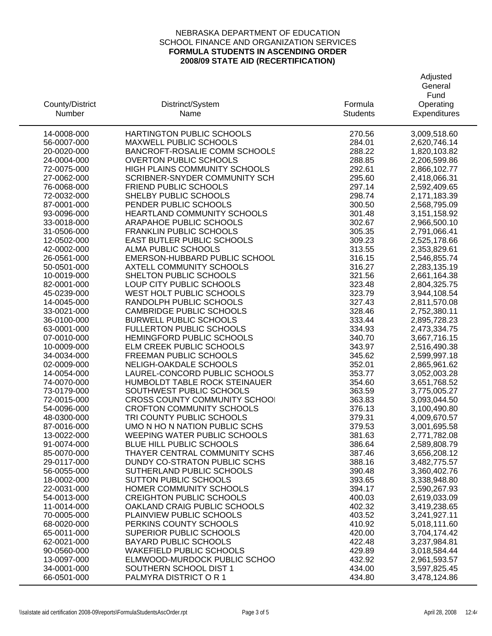|                            |                                                                          |                  | General                      |
|----------------------------|--------------------------------------------------------------------------|------------------|------------------------------|
|                            |                                                                          |                  | Fund                         |
| County/District            | Distrinct/System                                                         | Formula          | Operating                    |
| <b>Number</b>              | Name                                                                     | <b>Students</b>  | Expenditures                 |
| 14-0008-000                | HARTINGTON PUBLIC SCHOOLS                                                | 270.56           | 3,009,518.60                 |
| 56-0007-000                | MAXWELL PUBLIC SCHOOLS                                                   | 284.01           | 2,620,746.14                 |
| 20-0020-000                | BANCROFT-ROSALIE COMM SCHOOLS                                            | 288.22           | 1,820,103.82                 |
| 24-0004-000                | <b>OVERTON PUBLIC SCHOOLS</b>                                            | 288.85           | 2,206,599.86                 |
| 72-0075-000                | HIGH PLAINS COMMUNITY SCHOOLS                                            | 292.61           | 2,866,102.77                 |
| 27-0062-000                | SCRIBNER-SNYDER COMMUNITY SCH                                            | 295.60           | 2,418,066.31                 |
| 76-0068-000                | FRIEND PUBLIC SCHOOLS                                                    | 297.14           | 2,592,409.65                 |
| 72-0032-000                | SHELBY PUBLIC SCHOOLS                                                    | 298.74           | 2,171,183.39                 |
| 87-0001-000                | PENDER PUBLIC SCHOOLS                                                    | 300.50           | 2,568,795.09                 |
| 93-0096-000                | HEARTLAND COMMUNITY SCHOOLS                                              | 301.48           | 3,151,158.92                 |
| 33-0018-000                | ARAPAHOE PUBLIC SCHOOLS                                                  | 302.67           | 2,966,500.10                 |
| 31-0506-000                | <b>FRANKLIN PUBLIC SCHOOLS</b>                                           | 305.35           | 2,791,066.41                 |
| 12-0502-000                | EAST BUTLER PUBLIC SCHOOLS                                               | 309.23           | 2,525,178.66                 |
| 42-0002-000                | ALMA PUBLIC SCHOOLS                                                      | 313.55           | 2,353,829.61                 |
| 26-0561-000                | EMERSON-HUBBARD PUBLIC SCHOOL                                            | 316.15           | 2,546,855.74                 |
| 50-0501-000                | <b>AXTELL COMMUNITY SCHOOLS</b>                                          | 316.27           | 2,283,135.19                 |
| 10-0019-000                | SHELTON PUBLIC SCHOOLS                                                   | 321.56           | 2,661,164.38                 |
| 82-0001-000                | LOUP CITY PUBLIC SCHOOLS                                                 | 323.48           | 2,804,325.75                 |
| 45-0239-000                | WEST HOLT PUBLIC SCHOOLS                                                 | 323.79           | 3,944,108.54                 |
| 14-0045-000                | RANDOLPH PUBLIC SCHOOLS                                                  | 327.43           | 2,811,570.08                 |
| 33-0021-000                | <b>CAMBRIDGE PUBLIC SCHOOLS</b>                                          | 328.46           | 2,752,380.11                 |
| 36-0100-000                | <b>BURWELL PUBLIC SCHOOLS</b>                                            | 333.44           | 2,895,728.23                 |
| 63-0001-000                | <b>FULLERTON PUBLIC SCHOOLS</b>                                          | 334.93           | 2,473,334.75                 |
| 07-0010-000                | HEMINGFORD PUBLIC SCHOOLS                                                | 340.70           | 3,667,716.15                 |
| 10-0009-000                | ELM CREEK PUBLIC SCHOOLS                                                 | 343.97           | 2,516,490.38                 |
| 34-0034-000                | FREEMAN PUBLIC SCHOOLS                                                   | 345.62           | 2,599,997.18                 |
| 02-0009-000                | NELIGH-OAKDALE SCHOOLS                                                   | 352.01           | 2,865,961.62                 |
| 14-0054-000                | LAUREL-CONCORD PUBLIC SCHOOLS                                            | 353.77           | 3,052,003.28                 |
| 74-0070-000                | HUMBOLDT TABLE ROCK STEINAUER                                            | 354.60           | 3,651,768.52                 |
| 73-0179-000                | SOUTHWEST PUBLIC SCHOOLS                                                 | 363.59           | 3,775,005.27                 |
| 72-0015-000                | <b>CROSS COUNTY COMMUNITY SCHOOL</b><br><b>CROFTON COMMUNITY SCHOOLS</b> | 363.83           | 3,093,044.50                 |
| 54-0096-000                | TRI COUNTY PUBLIC SCHOOLS                                                | 376.13<br>379.31 | 3,100,490.80                 |
| 48-0300-000<br>87-0016-000 | UMO N HO N NATION PUBLIC SCHS                                            | 379.53           | 4,009,670.57<br>3,001,695.58 |
| 13-0022-000                | WEEPING WATER PUBLIC SCHOOLS                                             | 381.63           | 2,771,782.08                 |
| 91-0074-000                | BLUE HILL PUBLIC SCHOOLS                                                 | 386.64           | 2,589,808.79                 |
| 85-0070-000                | THAYER CENTRAL COMMUNITY SCHS                                            | 387.46           | 3,656,208.12                 |
| 29-0117-000                | DUNDY CO-STRATON PUBLIC SCHS                                             | 388.16           | 3,482,775.57                 |
| 56-0055-000                | SUTHERLAND PUBLIC SCHOOLS                                                | 390.48           | 3,360,402.76                 |
| 18-0002-000                | <b>SUTTON PUBLIC SCHOOLS</b>                                             | 393.65           | 3,338,948.80                 |
| 22-0031-000                | HOMER COMMUNITY SCHOOLS                                                  | 394.17           | 2,590,267.93                 |
| 54-0013-000                | <b>CREIGHTON PUBLIC SCHOOLS</b>                                          | 400.03           | 2,619,033.09                 |
| 11-0014-000                | OAKLAND CRAIG PUBLIC SCHOOLS                                             | 402.32           | 3,419,238.65                 |
| 70-0005-000                | PLAINVIEW PUBLIC SCHOOLS                                                 | 403.52           | 3,241,927.11                 |
| 68-0020-000                | PERKINS COUNTY SCHOOLS                                                   | 410.92           | 5,018,111.60                 |
| 65-0011-000                | SUPERIOR PUBLIC SCHOOLS                                                  | 420.00           | 3,704,174.42                 |
| 62-0021-000                | <b>BAYARD PUBLIC SCHOOLS</b>                                             | 422.48           | 3,237,984.81                 |
| 90-0560-000                | <b>WAKEFIELD PUBLIC SCHOOLS</b>                                          | 429.89           | 3,018,584.44                 |
| 13-0097-000                | ELMWOOD-MURDOCK PUBLIC SCHOO                                             | 432.92           | 2,961,593.57                 |
| 34-0001-000                | SOUTHERN SCHOOL DIST 1                                                   | 434.00           | 3,597,825.45                 |
| 66-0501-000                | PALMYRA DISTRICT OR 1                                                    | 434.80           | 3,478,124.86                 |
|                            |                                                                          |                  |                              |

**Adjusted**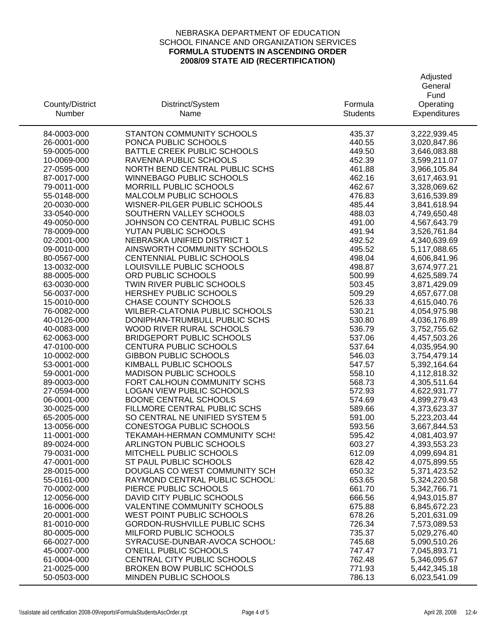|                            |                                                              |                  | General                      |
|----------------------------|--------------------------------------------------------------|------------------|------------------------------|
|                            |                                                              |                  | Fund                         |
| County/District            | Distrinct/System                                             | Formula          | Operating                    |
| Number                     | Name                                                         | <b>Students</b>  | Expenditures                 |
| 84-0003-000                | STANTON COMMUNITY SCHOOLS                                    | 435.37           | 3,222,939.45                 |
| 26-0001-000                | PONCA PUBLIC SCHOOLS                                         | 440.55           | 3,020,847.86                 |
| 59-0005-000                | BATTLE CREEK PUBLIC SCHOOLS                                  | 449.50           | 3,646,083.88                 |
| 10-0069-000                | RAVENNA PUBLIC SCHOOLS                                       | 452.39           | 3,599,211.07                 |
| 27-0595-000                | NORTH BEND CENTRAL PUBLIC SCHS                               | 461.88           | 3,966,105.84                 |
| 87-0017-000                | <b>WINNEBAGO PUBLIC SCHOOLS</b>                              | 462.16           | 3,617,463.91                 |
| 79-0011-000                | MORRILL PUBLIC SCHOOLS                                       | 462.67           | 3,328,069.62                 |
| 55-0148-000                | MALCOLM PUBLIC SCHOOLS                                       | 476.83           | 3,616,539.89                 |
| 20-0030-000                | WISNER-PILGER PUBLIC SCHOOLS                                 | 485.44           | 3,841,618.94                 |
| 33-0540-000                | SOUTHERN VALLEY SCHOOLS                                      | 488.03           | 4,749,650.48                 |
| 49-0050-000                | JOHNSON CO CENTRAL PUBLIC SCHS                               | 491.00           | 4,567,643.79                 |
| 78-0009-000                | YUTAN PUBLIC SCHOOLS                                         | 491.94           | 3,526,761.84                 |
| 02-2001-000                | <b>NEBRASKA UNIFIED DISTRICT 1</b>                           | 492.52           | 4,340,639.69                 |
| 09-0010-000                | AINSWORTH COMMUNITY SCHOOLS                                  | 495.52           | 5,117,088.65                 |
| 80-0567-000                | CENTENNIAL PUBLIC SCHOOLS                                    | 498.04           | 4,606,841.96                 |
| 13-0032-000                | LOUISVILLE PUBLIC SCHOOLS                                    | 498.87           | 3,674,977.21                 |
| 88-0005-000                | ORD PUBLIC SCHOOLS                                           | 500.99           | 4,625,589.74                 |
| 63-0030-000                | TWIN RIVER PUBLIC SCHOOLS                                    | 503.45           | 3,871,429.09                 |
| 56-0037-000                | <b>HERSHEY PUBLIC SCHOOLS</b>                                | 509.29           | 4,657,677.08                 |
| 15-0010-000                | <b>CHASE COUNTY SCHOOLS</b>                                  | 526.33           | 4,615,040.76                 |
| 76-0082-000                | WILBER-CLATONIA PUBLIC SCHOOLS                               | 530.21           | 4,054,975.98                 |
| 40-0126-000                | DONIPHAN-TRUMBULL PUBLIC SCHS                                | 530.80           | 4,036,176.89                 |
| 40-0083-000                | WOOD RIVER RURAL SCHOOLS<br><b>BRIDGEPORT PUBLIC SCHOOLS</b> | 536.79<br>537.06 | 3,752,755.62                 |
| 62-0063-000<br>47-0100-000 | CENTURA PUBLIC SCHOOLS                                       | 537.64           | 4,457,503.26<br>4,035,954.90 |
| 10-0002-000                | <b>GIBBON PUBLIC SCHOOLS</b>                                 | 546.03           | 3,754,479.14                 |
| 53-0001-000                | KIMBALL PUBLIC SCHOOLS                                       | 547.57           | 5,392,164.64                 |
| 59-0001-000                | <b>MADISON PUBLIC SCHOOLS</b>                                | 558.10           | 4,112,818.32                 |
| 89-0003-000                | FORT CALHOUN COMMUNITY SCHS                                  | 568.73           | 4,305,511.64                 |
| 27-0594-000                | LOGAN VIEW PUBLIC SCHOOLS                                    | 572.93           | 4,622,931.77                 |
| 06-0001-000                | <b>BOONE CENTRAL SCHOOLS</b>                                 | 574.69           | 4,899,279.43                 |
| 30-0025-000                | FILLMORE CENTRAL PUBLIC SCHS                                 | 589.66           | 4,373,623.37                 |
| 65-2005-000                | SO CENTRAL NE UNIFIED SYSTEM 5                               | 591.00           | 5,223,203.44                 |
| 13-0056-000                | CONESTOGA PUBLIC SCHOOLS                                     | 593.56           | 3,667,844.53                 |
| 11-0001-000                | <b>TEKAMAH-HERMAN COMMUNITY SCH!</b>                         | 595.42           | 4,081,403.97                 |
| 89-0024-000                | <b>ARLINGTON PUBLIC SCHOOLS</b>                              | 603.27           | 4,393,553.23                 |
| 79-0031-000                | MITCHELL PUBLIC SCHOOLS                                      | 612.09           | 4,099,694.81                 |
| 47-0001-000                | ST PAUL PUBLIC SCHOOLS                                       | 628.42           | 4,075,899.55                 |
| 28-0015-000                | DOUGLAS CO WEST COMMUNITY SCH                                | 650.32           | 5,371,423.52                 |
| 55-0161-000                | RAYMOND CENTRAL PUBLIC SCHOOL:                               | 653.65           | 5,324,220.58                 |
| 70-0002-000                | PIERCE PUBLIC SCHOOLS                                        | 661.70           | 5,342,766.71                 |
| 12-0056-000                | DAVID CITY PUBLIC SCHOOLS                                    | 666.56           | 4,943,015.87                 |
| 16-0006-000                | <b>VALENTINE COMMUNITY SCHOOLS</b>                           | 675.88           | 6,845,672.23                 |
| 20-0001-000                | WEST POINT PUBLIC SCHOOLS                                    | 678.26           | 5,201,631.09                 |
| 81-0010-000                | <b>GORDON-RUSHVILLE PUBLIC SCHS</b>                          | 726.34           | 7,573,089.53                 |
| 80-0005-000                | MILFORD PUBLIC SCHOOLS                                       | 735.37           | 5,029,276.40                 |
| 66-0027-000                | SYRACUSE-DUNBAR-AVOCA SCHOOL!                                | 745.68           | 5,090,510.26                 |
| 45-0007-000                | O'NEILL PUBLIC SCHOOLS                                       | 747.47           | 7,045,893.71                 |
| 61-0004-000                | CENTRAL CITY PUBLIC SCHOOLS                                  | 762.48           | 5,346,095.67                 |
| 21-0025-000                | <b>BROKEN BOW PUBLIC SCHOOLS</b>                             | 771.93           | 5,442,345.18                 |
| 50-0503-000                | <b>MINDEN PUBLIC SCHOOLS</b>                                 | 786.13           | 6,023,541.09                 |

Adjusted